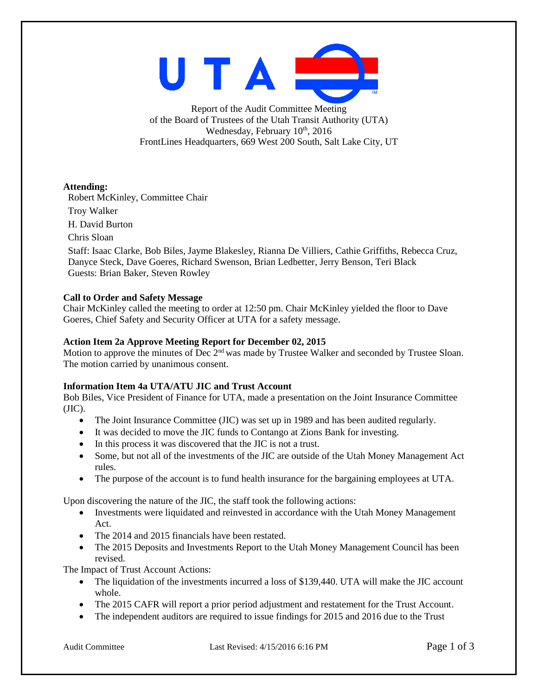

Report of the Audit Committee Meeting of the Board of Trustees of the Utah Transit Authority (UTA) Wednesday, February 10<sup>th</sup>, 2016 FrontLines Headquarters, 669 West 200 South, Salt Lake City, UT

## **Attending:**

Robert McKinley, Committee Chair

Troy Walker

H. David Burton

Chris Sloan

Staff: Isaac Clarke, Bob Biles, Jayme Blakesley, Rianna De Villiers, Cathie Griffiths, Rebecca Cruz, Danyce Steck, Dave Goeres, Richard Swenson, Brian Ledbetter, Jerry Benson, Teri Black Guests: Brian Baker, Steven Rowley

## **Call to Order and Safety Message**

Chair McKinley called the meeting to order at 12:50 pm. Chair McKinley yielded the floor to Dave Goeres, Chief Safety and Security Officer at UTA for a safety message.

#### **Action Item 2a Approve Meeting Report for December 02, 2015**

Motion to approve the minutes of Dec 2<sup>nd</sup> was made by Trustee Walker and seconded by Trustee Sloan. The motion carried by unanimous consent.

# **Information Item 4a UTA/ATU JIC and Trust Account**

Bob Biles, Vice President of Finance for UTA, made a presentation on the Joint Insurance Committee  $(JIC).$ 

- The Joint Insurance Committee (JIC) was set up in 1989 and has been audited regularly.
- It was decided to move the JIC funds to Contango at Zions Bank for investing.
- In this process it was discovered that the JIC is not a trust.
- Some, but not all of the investments of the JIC are outside of the Utah Money Management Act rules.
- The purpose of the account is to fund health insurance for the bargaining employees at UTA.

Upon discovering the nature of the JIC, the staff took the following actions:

- Investments were liquidated and reinvested in accordance with the Utah Money Management Act.
- The 2014 and 2015 financials have been restated.
- The 2015 Deposits and Investments Report to the Utah Money Management Council has been revised.

The Impact of Trust Account Actions:

- The liquidation of the investments incurred a loss of \$139,440. UTA will make the JIC account whole.
- The 2015 CAFR will report a prior period adjustment and restatement for the Trust Account.
- The independent auditors are required to issue findings for 2015 and 2016 due to the Trust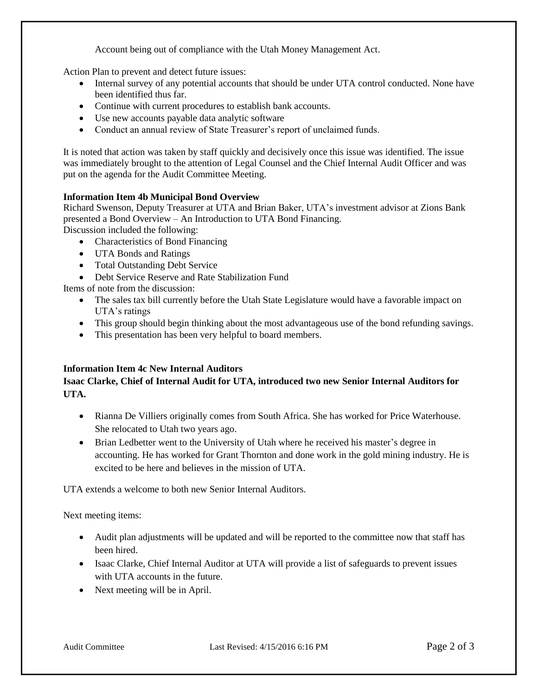Account being out of compliance with the Utah Money Management Act.

Action Plan to prevent and detect future issues:

- Internal survey of any potential accounts that should be under UTA control conducted. None have been identified thus far.
- Continue with current procedures to establish bank accounts.
- Use new accounts payable data analytic software
- Conduct an annual review of State Treasurer's report of unclaimed funds.

It is noted that action was taken by staff quickly and decisively once this issue was identified. The issue was immediately brought to the attention of Legal Counsel and the Chief Internal Audit Officer and was put on the agenda for the Audit Committee Meeting.

#### **Information Item 4b Municipal Bond Overview**

Richard Swenson, Deputy Treasurer at UTA and Brian Baker, UTA's investment advisor at Zions Bank presented a Bond Overview – An Introduction to UTA Bond Financing.

Discussion included the following:

- Characteristics of Bond Financing
- UTA Bonds and Ratings
- Total Outstanding Debt Service
- Debt Service Reserve and Rate Stabilization Fund

Items of note from the discussion:

- The sales tax bill currently before the Utah State Legislature would have a favorable impact on UTA's ratings
- This group should begin thinking about the most advantageous use of the bond refunding savings.
- This presentation has been very helpful to board members.

#### **Information Item 4c New Internal Auditors**

# **Isaac Clarke, Chief of Internal Audit for UTA, introduced two new Senior Internal Auditors for UTA.**

- Rianna De Villiers originally comes from South Africa. She has worked for Price Waterhouse. She relocated to Utah two years ago.
- Brian Ledbetter went to the University of Utah where he received his master's degree in accounting. He has worked for Grant Thornton and done work in the gold mining industry. He is excited to be here and believes in the mission of UTA.

UTA extends a welcome to both new Senior Internal Auditors.

Next meeting items:

- Audit plan adjustments will be updated and will be reported to the committee now that staff has been hired.
- Isaac Clarke, Chief Internal Auditor at UTA will provide a list of safeguards to prevent issues with UTA accounts in the future.
- Next meeting will be in April.